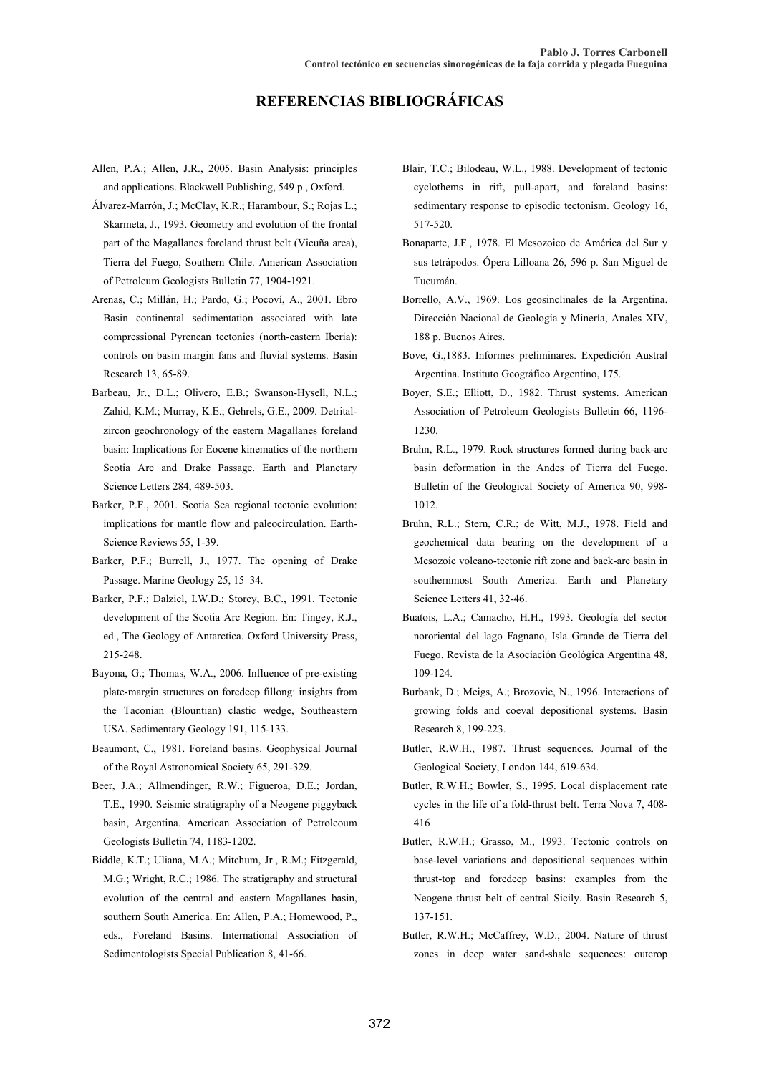## **REFERENCIAS BIBLIOGRÁFICAS**

- Allen, P.A.; Allen, J.R., 2005. Basin Analysis: principles and applications. Blackwell Publishing, 549 p., Oxford.
- Álvarez-Marrón, J.; McClay, K.R.; Harambour, S.; Rojas L.; Skarmeta, J., 1993. Geometry and evolution of the frontal part of the Magallanes foreland thrust belt (Vicuña area), Tierra del Fuego, Southern Chile. American Association of Petroleum Geologists Bulletin 77, 1904-1921.
- Arenas, C.; Millán, H.; Pardo, G.; Pocoví, A., 2001. Ebro Basin continental sedimentation associated with late compressional Pyrenean tectonics (north-eastern Iberia): controls on basin margin fans and fluvial systems. Basin Research 13, 65-89.
- Barbeau, Jr., D.L.; Olivero, E.B.; Swanson-Hysell, N.L.; Zahid, K.M.; Murray, K.E.; Gehrels, G.E., 2009. Detritalzircon geochronology of the eastern Magallanes foreland basin: Implications for Eocene kinematics of the northern Scotia Arc and Drake Passage. Earth and Planetary Science Letters 284, 489-503.
- Barker, P.F., 2001. Scotia Sea regional tectonic evolution: implications for mantle flow and paleocirculation. Earth-Science Reviews 55, 1-39.
- Barker, P.F.; Burrell, J., 1977. The opening of Drake Passage. Marine Geology 25, 15–34.
- Barker, P.F.; Dalziel, I.W.D.; Storey, B.C., 1991. Tectonic development of the Scotia Arc Region. En: Tingey, R.J., ed., The Geology of Antarctica. Oxford University Press, 215-248.
- Bayona, G.; Thomas, W.A., 2006. Influence of pre-existing plate-margin structures on foredeep fillong: insights from the Taconian (Blountian) clastic wedge, Southeastern USA. Sedimentary Geology 191, 115-133.
- Beaumont, C., 1981. Foreland basins. Geophysical Journal of the Royal Astronomical Society 65, 291-329.
- Beer, J.A.; Allmendinger, R.W.; Figueroa, D.E.; Jordan, T.E., 1990. Seismic stratigraphy of a Neogene piggyback basin, Argentina. American Association of Petroleoum Geologists Bulletin 74, 1183-1202.
- Biddle, K.T.; Uliana, M.A.; Mitchum, Jr., R.M.; Fitzgerald, M.G.; Wright, R.C.; 1986. The stratigraphy and structural evolution of the central and eastern Magallanes basin, southern South America. En: Allen, P.A.; Homewood, P., eds., Foreland Basins. International Association of Sedimentologists Special Publication 8, 41-66.
- Blair, T.C.; Bilodeau, W.L., 1988. Development of tectonic cyclothems in rift, pull-apart, and foreland basins: sedimentary response to episodic tectonism. Geology 16, 517-520.
- Bonaparte, J.F., 1978. El Mesozoico de América del Sur y sus tetrápodos. Ópera Lilloana 26, 596 p. San Miguel de Tucumán.
- Borrello, A.V., 1969. Los geosinclinales de la Argentina. Dirección Nacional de Geología y Minería, Anales XIV, 188 p. Buenos Aires.
- Bove, G.,1883. Informes preliminares. Expedición Austral Argentina. Instituto Geográfico Argentino, 175.
- Boyer, S.E.; Elliott, D., 1982. Thrust systems. American Association of Petroleum Geologists Bulletin 66, 1196- 1230.
- Bruhn, R.L., 1979. Rock structures formed during back-arc basin deformation in the Andes of Tierra del Fuego. Bulletin of the Geological Society of America 90, 998- 1012.
- Bruhn, R.L.; Stern, C.R.; de Witt, M.J., 1978. Field and geochemical data bearing on the development of a Mesozoic volcano-tectonic rift zone and back-arc basin in southernmost South America. Earth and Planetary Science Letters 41, 32-46.
- Buatois, L.A.; Camacho, H.H., 1993. Geología del sector nororiental del lago Fagnano, Isla Grande de Tierra del Fuego. Revista de la Asociación Geológica Argentina 48, 109-124.
- Burbank, D.; Meigs, A.; Brozovic, N., 1996. Interactions of growing folds and coeval depositional systems. Basin Research 8, 199-223.
- Butler, R.W.H., 1987. Thrust sequences. Journal of the Geological Society, London 144, 619-634.
- Butler, R.W.H.; Bowler, S., 1995. Local displacement rate cycles in the life of a fold-thrust belt. Terra Nova 7, 408- 416
- Butler, R.W.H.; Grasso, M., 1993. Tectonic controls on base-level variations and depositional sequences within thrust-top and foredeep basins: examples from the Neogene thrust belt of central Sicily. Basin Research 5, 137-151.
- Butler, R.W.H.; McCaffrey, W.D., 2004. Nature of thrust zones in deep water sand-shale sequences: outcrop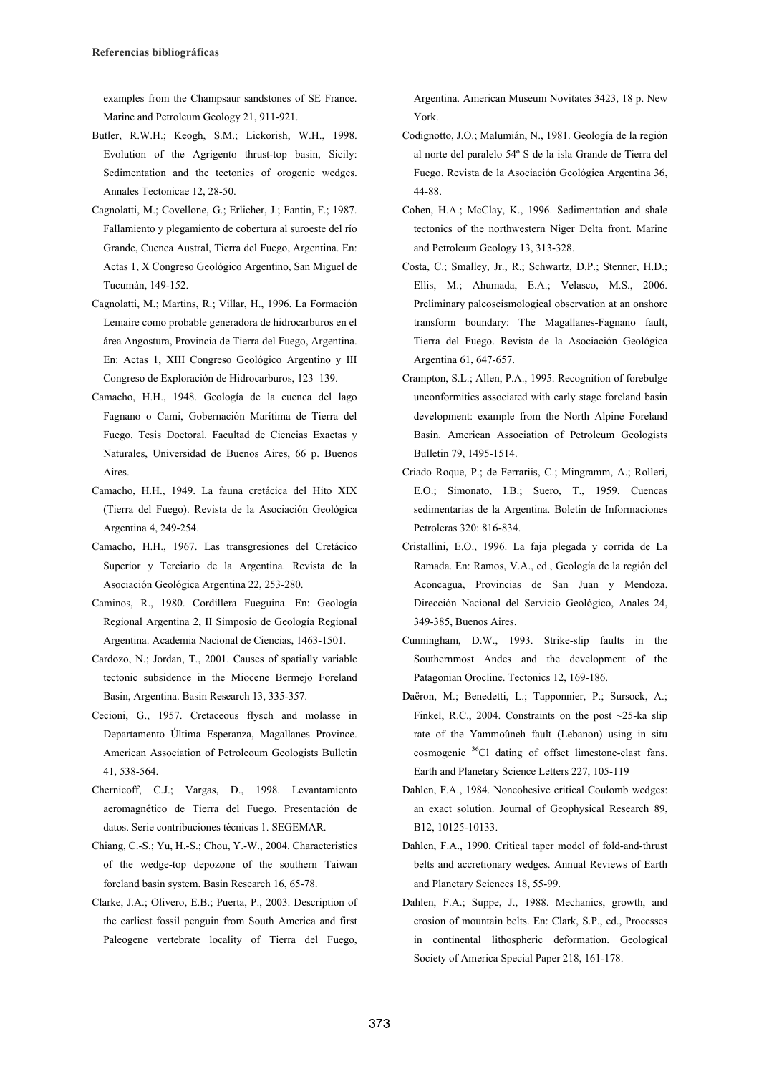examples from the Champsaur sandstones of SE France. Marine and Petroleum Geology 21, 911-921.

- Butler, R.W.H.; Keogh, S.M.; Lickorish, W.H., 1998. Evolution of the Agrigento thrust-top basin, Sicily: Sedimentation and the tectonics of orogenic wedges. Annales Tectonicae 12, 28-50.
- Cagnolatti, M.; Covellone, G.; Erlicher, J.; Fantin, F.; 1987. Fallamiento y plegamiento de cobertura al suroeste del río Grande, Cuenca Austral, Tierra del Fuego, Argentina. En: Actas 1, X Congreso Geológico Argentino, San Miguel de Tucumán, 149-152.
- Cagnolatti, M.; Martins, R.; Villar, H., 1996. La Formación Lemaire como probable generadora de hidrocarburos en el área Angostura, Provincia de Tierra del Fuego, Argentina. En: Actas 1, XIII Congreso Geológico Argentino y III Congreso de Exploración de Hidrocarburos, 123–139.
- Camacho, H.H., 1948. Geología de la cuenca del lago Fagnano o Cami, Gobernación Marítima de Tierra del Fuego. Tesis Doctoral. Facultad de Ciencias Exactas y Naturales, Universidad de Buenos Aires, 66 p. Buenos Aires.
- Camacho, H.H., 1949. La fauna cretácica del Hito XIX (Tierra del Fuego). Revista de la Asociación Geológica Argentina 4, 249-254.
- Camacho, H.H., 1967. Las transgresiones del Cretácico Superior y Terciario de la Argentina. Revista de la Asociación Geológica Argentina 22, 253-280.
- Caminos, R., 1980. Cordillera Fueguina. En: Geología Regional Argentina 2, II Simposio de Geología Regional Argentina. Academia Nacional de Ciencias, 1463-1501.
- Cardozo, N.; Jordan, T., 2001. Causes of spatially variable tectonic subsidence in the Miocene Bermejo Foreland Basin, Argentina. Basin Research 13, 335-357.
- Cecioni, G., 1957. Cretaceous flysch and molasse in Departamento Última Esperanza, Magallanes Province. American Association of Petroleoum Geologists Bulletin 41, 538-564.
- Chernicoff, C.J.; Vargas, D., 1998. Levantamiento aeromagnético de Tierra del Fuego. Presentación de datos. Serie contribuciones técnicas 1. SEGEMAR.
- Chiang, C.-S.; Yu, H.-S.; Chou, Y.-W., 2004. Characteristics of the wedge-top depozone of the southern Taiwan foreland basin system. Basin Research 16, 65-78.
- Clarke, J.A.; Olivero, E.B.; Puerta, P., 2003. Description of the earliest fossil penguin from South America and first Paleogene vertebrate locality of Tierra del Fuego,

Argentina. American Museum Novitates 3423, 18 p. New York.

- Codignotto, J.O.; Malumián, N., 1981. Geología de la región al norte del paralelo 54º S de la isla Grande de Tierra del Fuego. Revista de la Asociación Geológica Argentina 36, 44-88.
- Cohen, H.A.; McClay, K., 1996. Sedimentation and shale tectonics of the northwestern Niger Delta front. Marine and Petroleum Geology 13, 313-328.
- Costa, C.; Smalley, Jr., R.; Schwartz, D.P.; Stenner, H.D.; Ellis, M.; Ahumada, E.A.; Velasco, M.S., 2006. Preliminary paleoseismological observation at an onshore transform boundary: The Magallanes-Fagnano fault, Tierra del Fuego. Revista de la Asociación Geológica Argentina 61, 647-657.
- Crampton, S.L.; Allen, P.A., 1995. Recognition of forebulge unconformities associated with early stage foreland basin development: example from the North Alpine Foreland Basin. American Association of Petroleum Geologists Bulletin 79, 1495-1514.
- Criado Roque, P.; de Ferrariis, C.; Mingramm, A.; Rolleri, E.O.; Simonato, I.B.; Suero, T., 1959. Cuencas sedimentarias de la Argentina. Boletín de Informaciones Petroleras 320: 816-834.
- Cristallini, E.O., 1996. La faja plegada y corrida de La Ramada. En: Ramos, V.A., ed., Geología de la región del Aconcagua, Provincias de San Juan y Mendoza. Dirección Nacional del Servicio Geológico, Anales 24, 349-385, Buenos Aires.
- Cunningham, D.W., 1993. Strike-slip faults in the Southernmost Andes and the development of the Patagonian Orocline. Tectonics 12, 169-186.
- Daëron, M.; Benedetti, L.; Tapponnier, P.; Sursock, A.; Finkel, R.C., 2004. Constraints on the post ~25-ka slip rate of the Yammoûneh fault (Lebanon) using in situ cosmogenic <sup>36</sup>Cl dating of offset limestone-clast fans. Earth and Planetary Science Letters 227, 105-119
- Dahlen, F.A., 1984. Noncohesive critical Coulomb wedges: an exact solution. Journal of Geophysical Research 89, B12, 10125-10133.
- Dahlen, F.A., 1990. Critical taper model of fold-and-thrust belts and accretionary wedges. Annual Reviews of Earth and Planetary Sciences 18, 55-99.
- Dahlen, F.A.; Suppe, J., 1988. Mechanics, growth, and erosion of mountain belts. En: Clark, S.P., ed., Processes in continental lithospheric deformation. Geological Society of America Special Paper 218, 161-178.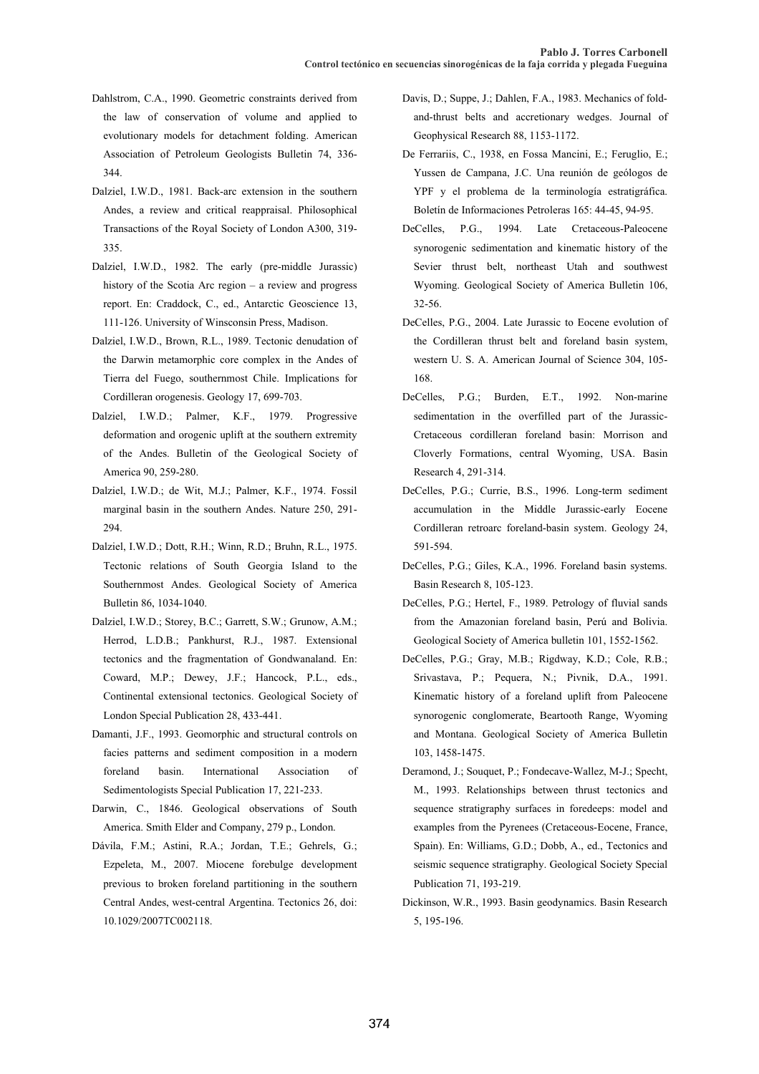- Dahlstrom, C.A., 1990. Geometric constraints derived from the law of conservation of volume and applied to evolutionary models for detachment folding. American Association of Petroleum Geologists Bulletin 74, 336- 344.
- Dalziel, I.W.D., 1981. Back-arc extension in the southern Andes, a review and critical reappraisal. Philosophical Transactions of the Royal Society of London A300, 319- 335.
- Dalziel, I.W.D., 1982. The early (pre-middle Jurassic) history of the Scotia Arc region – a review and progress report. En: Craddock, C., ed., Antarctic Geoscience 13, 111-126. University of Winsconsin Press, Madison.
- Dalziel, I.W.D., Brown, R.L., 1989. Tectonic denudation of the Darwin metamorphic core complex in the Andes of Tierra del Fuego, southernmost Chile. Implications for Cordilleran orogenesis. Geology 17, 699-703.
- Dalziel, I.W.D.; Palmer, K.F., 1979. Progressive deformation and orogenic uplift at the southern extremity of the Andes. Bulletin of the Geological Society of America 90, 259-280.
- Dalziel, I.W.D.; de Wit, M.J.; Palmer, K.F., 1974. Fossil marginal basin in the southern Andes. Nature 250, 291- 294.
- Dalziel, I.W.D.; Dott, R.H.; Winn, R.D.; Bruhn, R.L., 1975. Tectonic relations of South Georgia Island to the Southernmost Andes. Geological Society of America Bulletin 86, 1034-1040.
- Dalziel, I.W.D.; Storey, B.C.; Garrett, S.W.; Grunow, A.M.; Herrod, L.D.B.; Pankhurst, R.J., 1987. Extensional tectonics and the fragmentation of Gondwanaland. En: Coward, M.P.; Dewey, J.F.; Hancock, P.L., eds., Continental extensional tectonics. Geological Society of London Special Publication 28, 433-441.
- Damanti, J.F., 1993. Geomorphic and structural controls on facies patterns and sediment composition in a modern foreland basin. International Association of Sedimentologists Special Publication 17, 221-233.
- Darwin, C., 1846. Geological observations of South America. Smith Elder and Company, 279 p., London.
- Dávila, F.M.; Astini, R.A.; Jordan, T.E.; Gehrels, G.; Ezpeleta, M., 2007. Miocene forebulge development previous to broken foreland partitioning in the southern Central Andes, west-central Argentina. Tectonics 26, doi: 10.1029/2007TC002118.
- Davis, D.; Suppe, J.; Dahlen, F.A., 1983. Mechanics of foldand-thrust belts and accretionary wedges. Journal of Geophysical Research 88, 1153-1172.
- De Ferrariis, C., 1938, en Fossa Mancini, E.; Feruglio, E.; Yussen de Campana, J.C. Una reunión de geólogos de YPF y el problema de la terminología estratigráfica. Boletín de Informaciones Petroleras 165: 44-45, 94-95.
- DeCelles, P.G., 1994. Late Cretaceous-Paleocene synorogenic sedimentation and kinematic history of the Sevier thrust belt, northeast Utah and southwest Wyoming. Geological Society of America Bulletin 106, 32-56.
- DeCelles, P.G., 2004. Late Jurassic to Eocene evolution of the Cordilleran thrust belt and foreland basin system, western U. S. A. American Journal of Science 304, 105- 168.
- DeCelles, P.G.; Burden, E.T., 1992. Non-marine sedimentation in the overfilled part of the Jurassic-Cretaceous cordilleran foreland basin: Morrison and Cloverly Formations, central Wyoming, USA. Basin Research 4, 291-314.
- DeCelles, P.G.; Currie, B.S., 1996. Long-term sediment accumulation in the Middle Jurassic-early Eocene Cordilleran retroarc foreland-basin system. Geology 24, 591-594.
- DeCelles, P.G.; Giles, K.A., 1996. Foreland basin systems. Basin Research 8, 105-123.
- DeCelles, P.G.; Hertel, F., 1989. Petrology of fluvial sands from the Amazonian foreland basin, Perú and Bolivia. Geological Society of America bulletin 101, 1552-1562.
- DeCelles, P.G.; Gray, M.B.; Rigdway, K.D.; Cole, R.B.; Srivastava, P.; Pequera, N.; Pivnik, D.A., 1991. Kinematic history of a foreland uplift from Paleocene synorogenic conglomerate, Beartooth Range, Wyoming and Montana. Geological Society of America Bulletin 103, 1458-1475.
- Deramond, J.; Souquet, P.; Fondecave-Wallez, M-J.; Specht, M., 1993. Relationships between thrust tectonics and sequence stratigraphy surfaces in foredeeps: model and examples from the Pyrenees (Cretaceous-Eocene, France, Spain). En: Williams, G.D.; Dobb, A., ed., Tectonics and seismic sequence stratigraphy. Geological Society Special Publication 71, 193-219.
- Dickinson, W.R., 1993. Basin geodynamics. Basin Research 5, 195-196.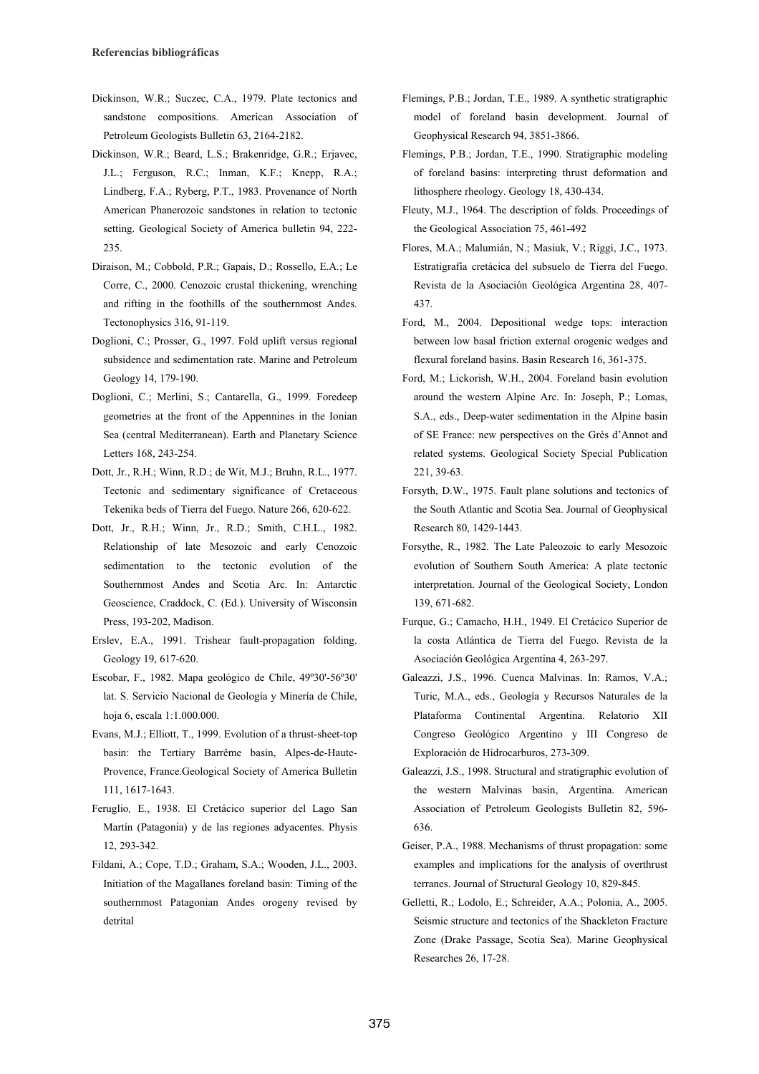- Dickinson, W.R.; Suczec, C.A., 1979. Plate tectonics and sandstone compositions. American Association of Petroleum Geologists Bulletin 63, 2164-2182.
- Dickinson, W.R.; Beard, L.S.; Brakenridge, G.R.; Erjavec, J.L.; Ferguson, R.C.; Inman, K.F.; Knepp, R.A.; Lindberg, F.A.; Ryberg, P.T., 1983. Provenance of North American Phanerozoic sandstones in relation to tectonic setting. Geological Society of America bulletin 94, 222- 235.
- Diraison, M.; Cobbold, P.R.; Gapais, D.; Rossello, E.A.; Le Corre, C., 2000. Cenozoic crustal thickening, wrenching and rifting in the foothills of the southernmost Andes. Tectonophysics 316, 91-119.
- Doglioni, C.; Prosser, G., 1997. Fold uplift versus regional subsidence and sedimentation rate. Marine and Petroleum Geology 14, 179-190.
- Doglioni, C.; Merlini, S.; Cantarella, G., 1999. Foredeep geometries at the front of the Appennines in the Ionian Sea (central Mediterranean). Earth and Planetary Science Letters 168, 243-254.
- Dott, Jr., R.H.; Winn, R.D.; de Wit, M.J.; Bruhn, R.L., 1977. Tectonic and sedimentary significance of Cretaceous Tekenika beds of Tierra del Fuego. Nature 266, 620-622.
- Dott, Jr., R.H.; Winn, Jr., R.D.; Smith, C.H.L., 1982. Relationship of late Mesozoic and early Cenozoic sedimentation to the tectonic evolution of the Southernmost Andes and Scotia Arc. In: Antarctic Geoscience, Craddock, C. (Ed.). University of Wisconsin Press, 193-202, Madison.
- Erslev, E.A., 1991. Trishear fault-propagation folding. Geology 19, 617-620.
- Escobar, F., 1982. Mapa geológico de Chile, 49º30'-56º30' lat. S. Servicio Nacional de Geología y Minería de Chile, hoja 6, escala 1:1.000.000.
- Evans, M.J.; Elliott, T., 1999. Evolution of a thrust-sheet-top basin: the Tertiary Barrême basin, Alpes-de-Haute-Provence, France.Geological Society of America Bulletin 111, 1617-1643.
- Feruglio*,* E., 1938. El Cretácico superior del Lago San Martín (Patagonia) y de las regiones adyacentes. Physis 12, 293-342.
- Fildani, A.; Cope, T.D.; Graham, S.A.; Wooden, J.L., 2003. Initiation of the Magallanes foreland basin: Timing of the southernmost Patagonian Andes orogeny revised by detrital
- Flemings, P.B.; Jordan, T.E., 1989. A synthetic stratigraphic model of foreland basin development. Journal of Geophysical Research 94, 3851-3866.
- Flemings, P.B.; Jordan, T.E., 1990. Stratigraphic modeling of foreland basins: interpreting thrust deformation and lithosphere rheology. Geology 18, 430-434.
- Fleuty, M.J., 1964. The description of folds. Proceedings of the Geological Association 75, 461-492
- Flores, M.A.; Malumián, N.; Masiuk, V.; Riggi, J.C., 1973. Estratigrafía cretácica del subsuelo de Tierra del Fuego. Revista de la Asociación Geológica Argentina 28, 407- 437.
- Ford, M., 2004. Depositional wedge tops: interaction between low basal friction external orogenic wedges and flexural foreland basins. Basin Research 16, 361-375.
- Ford, M.; Lickorish, W.H., 2004. Foreland basin evolution around the western Alpine Arc. In: Joseph, P.; Lomas, S.A., eds., Deep-water sedimentation in the Alpine basin of SE France: new perspectives on the Grès d'Annot and related systems. Geological Society Special Publication 221, 39-63.
- Forsyth, D.W., 1975. Fault plane solutions and tectonics of the South Atlantic and Scotia Sea. Journal of Geophysical Research 80, 1429-1443.
- Forsythe, R., 1982. The Late Paleozoic to early Mesozoic evolution of Southern South America: A plate tectonic interpretation. Journal of the Geological Society, London 139, 671-682.
- Furque, G.; Camacho, H.H., 1949. El Cretácico Superior de la costa Atlántica de Tierra del Fuego. Revista de la Asociación Geológica Argentina 4, 263-297.
- Galeazzi, J.S., 1996. Cuenca Malvinas. In: Ramos, V.A.; Turic, M.A., eds., Geología y Recursos Naturales de la Plataforma Continental Argentina. Relatorio XII Congreso Geológico Argentino y III Congreso de Exploración de Hidrocarburos, 273-309.
- Galeazzi, J.S., 1998. Structural and stratigraphic evolution of the western Malvinas basin, Argentina. American Association of Petroleum Geologists Bulletin 82, 596- 636.
- Geiser, P.A., 1988. Mechanisms of thrust propagation: some examples and implications for the analysis of overthrust terranes. Journal of Structural Geology 10, 829-845.
- Gelletti, R.; Lodolo, E.; Schreider, A.A.; Polonia, A., 2005. Seismic structure and tectonics of the Shackleton Fracture Zone (Drake Passage, Scotia Sea). Marine Geophysical Researches 26, 17-28.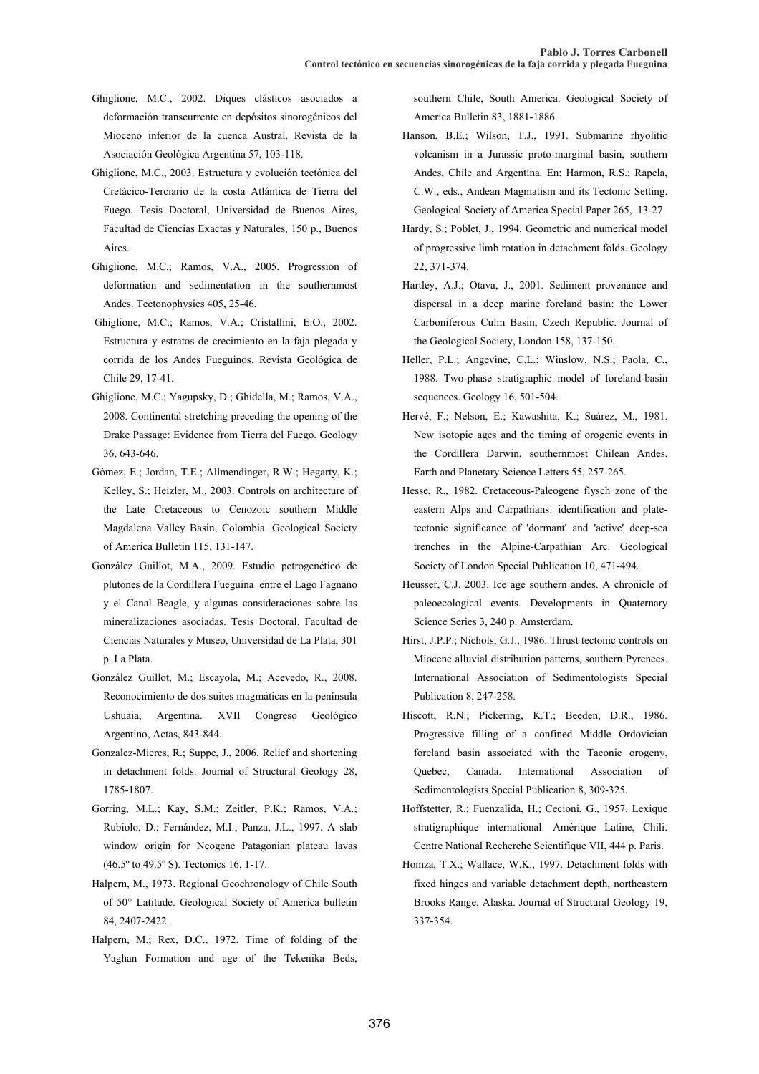- Ghiglione, M.C., 2002. Diques clásticos asociados a deformación transcurrente en depósitos sinorogénicos del Mioceno inferior de la cuenca Austral. Revista de la Asociación Geológica Argentina 57, 103-118.
- Ghiglione, M.C., 2003. Estructura y evolución tectónica del Cretácico-Terciario de la costa Atlántica de Tierra del Fuego. Tesis Doctoral, Universidad de Buenos Aires, Facultad de Ciencias Exactas y Naturales, 150 p., Buenos **A**ires.
- Ghiglione, M.C.; Ramos, V.A., 2005. Progression of deformation and sedimentation in the southernmost Andes. Tectonophysics 405, 25-46.
- Ghiglione, M.C.; Ramos, V.A.; Cristallini, E.O., 2002. Estructura y estratos de crecimiento en la faja plegada y corrida de los Andes Fueguinos. Revista Geológica de Chile 29, 17-41.
- Ghiglione, M.C.; Yagupsky, D.; Ghidella, M.; Ramos, V.A., 2008. Continental stretching preceding the opening of the Drake Passage: Evidence from Tierra del Fuego. Geology 36, 643-646.
- Gómez, E.; Jordan, T.E.; Allmendinger, R.W.; Hegarty, K.; Kelley, S.; Heizler, M., 2003. Controls on architecture of the Late Cretaceous to Cenozoic southern Middle Magdalena Valley Basin, Colombia. Geological Society of America Bulletin 115, 131-147.
- González Guillot, M.A., 2009. Estudio petrogenético de plutones de la Cordillera Fueguina entre el Lago Fagnano y el Canal Beagle, y algunas consideraciones sobre las mineralizaciones asociadas. Tesis Doctoral. Facultad de Ciencias Naturales y Museo, Universidad de La Plata, 301 p. La Plata.
- González Guillot, M.; Escayola, M.; Acevedo, R., 2008. Reconocimiento de dos suites magmáticas en la península Ushuaia, Argentina. XVII Congreso Geológico Argentino, Actas, 843-844.
- Gonzalez-Mieres, R.; Suppe, J., 2006. Relief and shortening in detachment folds. Journal of Structural Geology 28, 1785-1807.
- Gorring, M.L.; Kay, S.M.; Zeitler, P.K.; Ramos, V.A.; Rubiolo, D.; Fernández, M.I.; Panza, J.L., 1997. A slab window origin for Neogene Patagonian plateau lavas (46.5º to 49.5º S). Tectonics 16, 1-17.
- Halpern, M., 1973. Regional Geochronology of Chile South of 50° Latitude. Geological Society of America bulletin 84, 2407-2422.
- Halpern, M.; Rex, D.C., 1972. Time of folding of the Yaghan Formation and age of the Tekenika Beds,

southern Chile, South America. Geological Society of America Bulletin 83, 1881-1886.

- Hanson, B.E.; Wilson, T.J., 1991. Submarine rhyolitic volcanism in a Jurassic proto-marginal basin, southern Andes, Chile and Argentina. En: Harmon, R.S.; Rapela, C.W., eds., Andean Magmatism and its Tectonic Setting. Geological Society of America Special Paper 265, 13-27.
- Hardy, S.; Poblet, J., 1994. Geometric and numerical model of progressive limb rotation in detachment folds. Geology 22, 371-374.
- Hartley, A.J.; Otava, J., 2001. Sediment provenance and dispersal in a deep marine foreland basin: the Lower Carboniferous Culm Basin, Czech Republic. Journal of the Geological Society, London 158, 137-150.
- Heller, P.L.; Angevine, C.L.; Winslow, N.S.; Paola, C., 1988. Two-phase stratigraphic model of foreland-basin sequences. Geology 16, 501-504.
- Hervé, F.; Nelson, E.; Kawashita, K.; Suárez, M., 1981. New isotopic ages and the timing of orogenic events in the Cordillera Darwin, southernmost Chilean Andes. Earth and Planetary Science Letters 55, 257-265.
- Hesse, R., 1982. Cretaceous-Paleogene flysch zone of the eastern Alps and Carpathians: identification and platetectonic significance of 'dormant' and 'active' deep-sea trenches in the Alpine-Carpathian Arc. Geological Society of London Special Publication 10, 471-494.
- Heusser, C.J. 2003. Ice age southern andes. A chronicle of paleoecological events. Developments in Quaternary Science Series 3, 240 p. Amsterdam.
- Hirst, J.P.P.; Nichols, G.J., 1986. Thrust tectonic controls on Miocene alluvial distribution patterns, southern Pyrenees. International Association of Sedimentologists Special Publication 8, 247-258.
- Hiscott, R.N.; Pickering, K.T.; Beeden, D.R., 1986. Progressive filling of a confined Middle Ordovician foreland basin associated with the Taconic orogeny, Quebec, Canada. International Association of Sedimentologists Special Publication 8, 309-325.
- Hoffstetter, R.; Fuenzalida, H.; Cecioni, G., 1957. Lexique stratigraphique international. Amérique Latine, Chili. Centre National Recherche Scientifique VII, 444 p. Paris.
- Homza, T.X.; Wallace, W.K., 1997. Detachment folds with fixed hinges and variable detachment depth, northeastern Brooks Range, Alaska. Journal of Structural Geology 19, 337-354.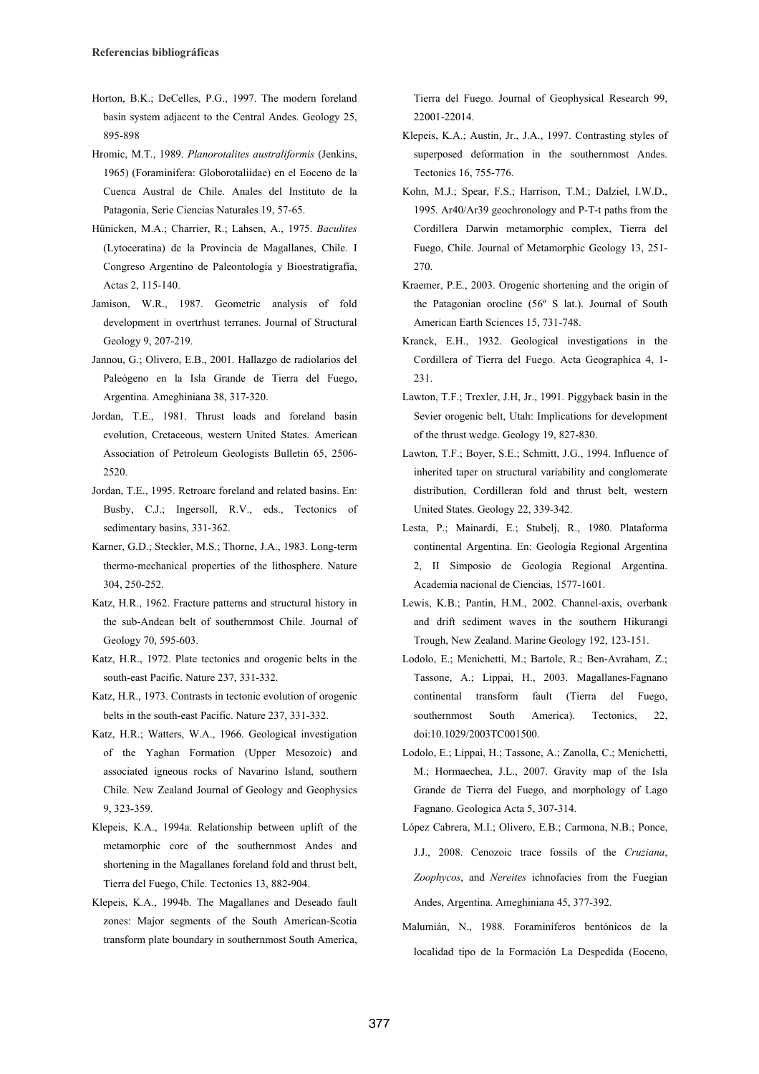- Horton, B.K.; DeCelles, P.G., 1997. The modern foreland basin system adjacent to the Central Andes. Geology 25, 895-898
- Hromic, M.T., 1989. *Planorotalites australiformis* (Jenkins, 1965) (Foraminifera: Globorotaliidae) en el Eoceno de la Cuenca Austral de Chile. Anales del Instituto de la Patagonia, Serie Ciencias Naturales 19, 57-65.
- Hünicken, M.A.; Charrier, R.; Lahsen, A., 1975. *Baculites*  (Lytoceratina) de la Provincia de Magallanes, Chile. I Congreso Argentino de Paleontología y Bioestratigrafía, Actas 2, 115-140.
- Jamison, W.R., 1987. Geometric analysis of fold development in overtrhust terranes. Journal of Structural Geology 9, 207-219.
- Jannou, G.; Olivero, E.B., 2001. Hallazgo de radiolarios del Paleógeno en la Isla Grande de Tierra del Fuego, Argentina. Ameghiniana 38, 317-320.
- Jordan, T.E., 1981. Thrust loads and foreland basin evolution, Cretaceous, western United States. American Association of Petroleum Geologists Bulletin 65, 2506- 2520.
- Jordan, T.E., 1995. Retroarc foreland and related basins. En: Busby, C.J.; Ingersoll, R.V., eds., Tectonics of sedimentary basins, 331-362.
- Karner, G.D.; Steckler, M.S.; Thorne, J.A., 1983. Long-term thermo-mechanical properties of the lithosphere. Nature 304, 250-252.
- Katz, H.R., 1962. Fracture patterns and structural history in the sub-Andean belt of southernmost Chile. Journal of Geology 70, 595-603.
- Katz, H.R., 1972. Plate tectonics and orogenic belts in the south-east Pacific. Nature 237, 331-332.
- Katz, H.R., 1973. Contrasts in tectonic evolution of orogenic belts in the south-east Pacific. Nature 237, 331-332.
- Katz, H.R.; Watters, W.A., 1966. Geological investigation of the Yaghan Formation (Upper Mesozoic) and associated igneous rocks of Navarino Island, southern Chile. New Zealand Journal of Geology and Geophysics 9, 323-359.
- Klepeis, K.A., 1994a. Relationship between uplift of the metamorphic core of the southernmost Andes and shortening in the Magallanes foreland fold and thrust belt, Tierra del Fuego, Chile. Tectonics 13, 882-904.
- Klepeis, K.A., 1994b. The Magallanes and Deseado fault zones: Major segments of the South American-Scotia transform plate boundary in southernmost South America,

Tierra del Fuego. Journal of Geophysical Research 99, 22001-22014.

- Klepeis, K.A.; Austin, Jr., J.A., 1997. Contrasting styles of superposed deformation in the southernmost Andes. Tectonics 16, 755-776.
- Kohn, M.J.; Spear, F.S.; Harrison, T.M.; Dalziel, I.W.D., 1995. Ar40/Ar39 geochronology and P-T-t paths from the Cordillera Darwin metamorphic complex, Tierra del Fuego, Chile. Journal of Metamorphic Geology 13, 251- 270.
- Kraemer, P.E., 2003. Orogenic shortening and the origin of the Patagonian orocline (56º S lat.). Journal of South American Earth Sciences 15, 731-748.
- Kranck, E.H., 1932. Geological investigations in the Cordillera of Tierra del Fuego. Acta Geographica 4, 1- 231.
- Lawton, T.F.; Trexler, J.H, Jr., 1991. Piggyback basin in the Sevier orogenic belt, Utah: Implications for development of the thrust wedge. Geology 19, 827-830.
- Lawton, T.F.; Boyer, S.E.; Schmitt, J.G., 1994. Influence of inherited taper on structural variability and conglomerate distribution, Cordilleran fold and thrust belt, western United States. Geology 22, 339-342.
- Lesta, P.; Mainardi, E.; Stubelj, R., 1980. Plataforma continental Argentina. En: Geología Regional Argentina 2, II Simposio de Geología Regional Argentina. Academia nacional de Ciencias, 1577-1601.
- Lewis, K.B.; Pantin, H.M., 2002. Channel-axis, overbank and drift sediment waves in the southern Hikurangi Trough, New Zealand. Marine Geology 192, 123-151.
- Lodolo, E.; Menichetti, M.; Bartole, R.; Ben-Avraham, Z.; Tassone, A.; Lippai, H., 2003. Magallanes-Fagnano continental transform fault (Tierra del Fuego, southernmost South America). Tectonics, 22, doi:10.1029/2003TC001500.
- Lodolo, E.; Lippai, H.; Tassone, A.; Zanolla, C.; Menichetti, M.; Hormaechea, J.L., 2007. Gravity map of the Isla Grande de Tierra del Fuego, and morphology of Lago Fagnano. Geologica Acta 5, 307-314.
- López Cabrera, M.I.; Olivero, E.B.; Carmona, N.B.; Ponce, J.J., 2008. Cenozoic trace fossils of the *Cruziana*, *Zoophycos*, and *Nereites* ichnofacies from the Fuegian Andes, Argentina. Ameghiniana 45, 377-392.
- Malumián, N., 1988. Foraminíferos bentónicos de la localidad tipo de la Formación La Despedida (Eoceno,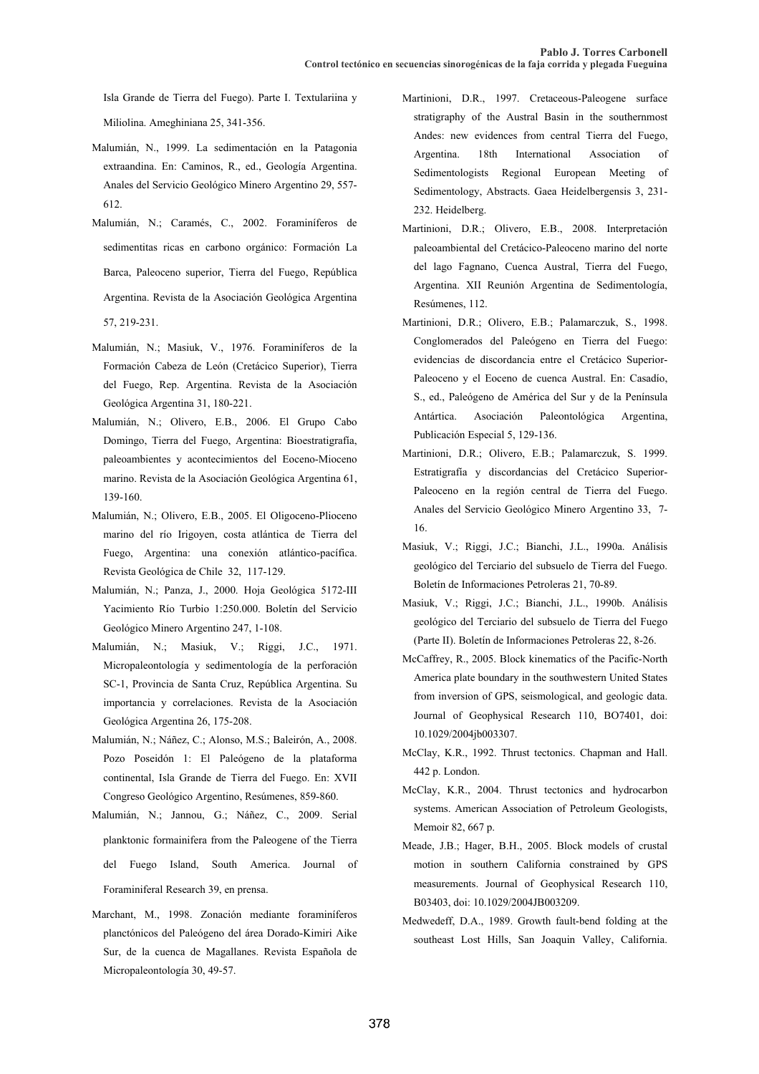Isla Grande de Tierra del Fuego). Parte I. Textulariina y Miliolina. Ameghiniana 25, 341-356.

- Malumián, N., 1999. La sedimentación en la Patagonia extraandina. En: Caminos, R., ed., Geología Argentina. Anales del Servicio Geológico Minero Argentino 29, 557- 612.
- Malumián, N.; Caramés, C., 2002. Foraminíferos de sedimentitas ricas en carbono orgánico: Formación La Barca, Paleoceno superior, Tierra del Fuego, República Argentina. Revista de la Asociación Geológica Argentina 57, 219-231.
- Malumián, N.; Masiuk, V., 1976. Foraminíferos de la Formación Cabeza de León (Cretácico Superior), Tierra del Fuego, Rep. Argentina. Revista de la Asociación Geológica Argentina 31, 180-221.
- Malumián, N.; Olivero, E.B., 2006. El Grupo Cabo Domingo, Tierra del Fuego, Argentina: Bioestratigrafía, paleoambientes y acontecimientos del Eoceno-Mioceno marino. Revista de la Asociación Geológica Argentina 61, 139-160.
- Malumián, N.; Olivero, E.B., 2005. El Oligoceno-Plioceno marino del río Irigoyen, costa atlántica de Tierra del Fuego, Argentina: una conexión atlántico-pacífica. Revista Geológica de Chile 32, 117-129.
- Malumián, N.; Panza, J., 2000. Hoja Geológica 5172-III Yacimiento Río Turbio 1:250.000. Boletín del Servicio Geológico Minero Argentino 247, 1-108.
- Malumián, N.; Masiuk, V.; Riggi, J.C., 1971. Micropaleontología y sedimentología de la perforación SC-1, Provincia de Santa Cruz, República Argentina. Su importancia y correlaciones. Revista de la Asociación Geológica Argentina 26, 175-208.
- Malumián, N.; Náñez, C.; Alonso, M.S.; Baleirón, A., 2008. Pozo Poseidón 1: El Paleógeno de la plataforma continental, Isla Grande de Tierra del Fuego. En: XVII Congreso Geológico Argentino, Resúmenes, 859-860.
- Malumián, N.; Jannou, G.; Náñez, C., 2009. Serial planktonic formainifera from the Paleogene of the Tierra del Fuego Island, South America. Journal of Foraminiferal Research 39, en prensa.
- Marchant, M., 1998. Zonación mediante foraminíferos planctónicos del Paleógeno del área Dorado-Kimiri Aike Sur, de la cuenca de Magallanes. Revista Española de Micropaleontología 30, 49-57.
- Martinioni, D.R., 1997. Cretaceous-Paleogene surface stratigraphy of the Austral Basin in the southernmost Andes: new evidences from central Tierra del Fuego, Argentina. 18th International Association of Sedimentologists Regional European Meeting of Sedimentology, Abstracts. Gaea Heidelbergensis 3, 231- 232. Heidelberg.
- Martinioni, D.R.; Olivero, E.B., 2008. Interpretación paleoambiental del Cretácico-Paleoceno marino del norte del lago Fagnano, Cuenca Austral, Tierra del Fuego, Argentina. XII Reunión Argentina de Sedimentología, Resúmenes, 112.
- Martinioni, D.R.; Olivero, E.B.; Palamarczuk, S., 1998. Conglomerados del Paleógeno en Tierra del Fuego: evidencias de discordancia entre el Cretácico Superior-Paleoceno y el Eoceno de cuenca Austral. En: Casadío, S., ed., Paleógeno de América del Sur y de la Península Antártica. Asociación Paleontológica Argentina, Publicación Especial 5, 129-136.
- Martinioni, D.R.; Olivero, E.B.; Palamarczuk, S. 1999. Estratigrafía y discordancias del Cretácico Superior-Paleoceno en la región central de Tierra del Fuego. Anales del Servicio Geológico Minero Argentino 33, 7- 16.
- Masiuk, V.; Riggi, J.C.; Bianchi, J.L., 1990a. Análisis geológico del Terciario del subsuelo de Tierra del Fuego. Boletín de Informaciones Petroleras 21, 70-89.
- Masiuk, V.; Riggi, J.C.; Bianchi, J.L., 1990b. Análisis geológico del Terciario del subsuelo de Tierra del Fuego (Parte II). Boletín de Informaciones Petroleras 22, 8-26.
- McCaffrey, R., 2005. Block kinematics of the Pacific-North America plate boundary in the southwestern United States from inversion of GPS, seismological, and geologic data. Journal of Geophysical Research 110, BO7401, doi: 10.1029/2004jb003307.
- McClay, K.R., 1992. Thrust tectonics. Chapman and Hall. 442 p. London.
- McClay, K.R., 2004. Thrust tectonics and hydrocarbon systems. American Association of Petroleum Geologists, Memoir 82, 667 p.
- Meade, J.B.; Hager, B.H., 2005. Block models of crustal motion in southern California constrained by GPS measurements. Journal of Geophysical Research 110, B03403, doi: 10.1029/2004JB003209.
- Medwedeff, D.A., 1989. Growth fault-bend folding at the southeast Lost Hills, San Joaquin Valley, California.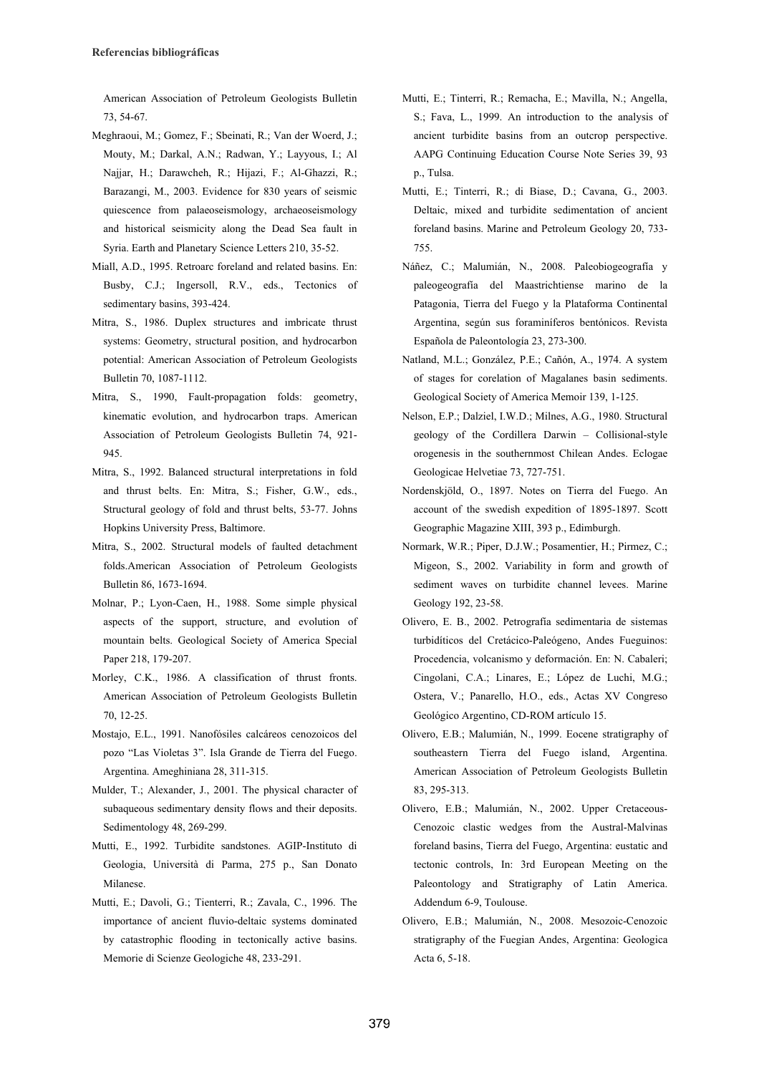American Association of Petroleum Geologists Bulletin 73, 54-67.

- Meghraoui, M.; Gomez, F.; Sbeinati, R.; Van der Woerd, J.; Mouty, M.; Darkal, A.N.; Radwan, Y.; Layyous, I.; Al Najjar, H.; Darawcheh, R.; Hijazi, F.; Al-Ghazzi, R.; Barazangi, M., 2003. Evidence for 830 years of seismic quiescence from palaeoseismology, archaeoseismology and historical seismicity along the Dead Sea fault in Syria. Earth and Planetary Science Letters 210, 35-52.
- Miall, A.D., 1995. Retroarc foreland and related basins. En: Busby, C.J.; Ingersoll, R.V., eds., Tectonics of sedimentary basins, 393-424.
- Mitra, S., 1986. Duplex structures and imbricate thrust systems: Geometry, structural position, and hydrocarbon potential: American Association of Petroleum Geologists Bulletin 70, 1087-1112.
- Mitra, S., 1990, Fault-propagation folds: geometry, kinematic evolution, and hydrocarbon traps. American Association of Petroleum Geologists Bulletin 74, 921- 945.
- Mitra, S., 1992. Balanced structural interpretations in fold and thrust belts. En: Mitra, S.; Fisher, G.W., eds., Structural geology of fold and thrust belts, 53-77. Johns Hopkins University Press, Baltimore.
- Mitra, S., 2002. Structural models of faulted detachment folds.American Association of Petroleum Geologists Bulletin 86, 1673-1694.
- Molnar, P.; Lyon-Caen, H., 1988. Some simple physical aspects of the support, structure, and evolution of mountain belts. Geological Society of America Special Paper 218, 179-207.
- Morley, C.K., 1986. A classification of thrust fronts. American Association of Petroleum Geologists Bulletin 70, 12-25.
- Mostajo, E.L., 1991. Nanofósiles calcáreos cenozoicos del pozo "Las Violetas 3". Isla Grande de Tierra del Fuego. Argentina. Ameghiniana 28, 311-315.
- Mulder, T.; Alexander, J., 2001. The physical character of subaqueous sedimentary density flows and their deposits. Sedimentology 48, 269-299.
- Mutti, E., 1992. Turbidite sandstones. AGIP-Instituto di Geologia, Università di Parma, 275 p., San Donato Milanese.
- Mutti, E.; Davoli, G.; Tienterri, R.; Zavala, C., 1996. The importance of ancient fluvio-deltaic systems dominated by catastrophic flooding in tectonically active basins. Memorie di Scienze Geologiche 48, 233-291.
- Mutti, E.; Tinterri, R.; Remacha, E.; Mavilla, N.; Angella, S.; Fava, L., 1999. An introduction to the analysis of ancient turbidite basins from an outcrop perspective. AAPG Continuing Education Course Note Series 39, 93 p., Tulsa.
- Mutti, E.; Tinterri, R.; di Biase, D.; Cavana, G., 2003. Deltaic, mixed and turbidite sedimentation of ancient foreland basins. Marine and Petroleum Geology 20, 733- 755.
- Náñez, C.; Malumián, N., 2008. Paleobiogeografía y paleogeografía del Maastrichtiense marino de la Patagonia, Tierra del Fuego y la Plataforma Continental Argentina, según sus foraminíferos bentónicos. Revista Española de Paleontología 23, 273-300.
- Natland, M.L.; González, P.E.; Cañón, A., 1974. A system of stages for corelation of Magalanes basin sediments. Geological Society of America Memoir 139, 1-125.
- Nelson, E.P.; Dalziel, I.W.D.; Milnes, A.G., 1980. Structural geology of the Cordillera Darwin – Collisional-style orogenesis in the southernmost Chilean Andes. Eclogae Geologicae Helvetiae 73, 727-751.
- Nordenskjöld, O., 1897. Notes on Tierra del Fuego. An account of the swedish expedition of 1895-1897. Scott Geographic Magazine XIII, 393 p., Edimburgh.
- Normark, W.R.; Piper, D.J.W.; Posamentier, H.; Pirmez, C.; Migeon, S., 2002. Variability in form and growth of sediment waves on turbidite channel levees. Marine Geology 192, 23-58.
- Olivero, E. B., 2002. Petrografía sedimentaria de sistemas turbidíticos del Cretácico-Paleógeno, Andes Fueguinos: Procedencia, volcanismo y deformación. En: N. Cabaleri; Cingolani, C.A.; Linares, E.; López de Luchi, M.G.; Ostera, V.; Panarello, H.O., eds., Actas XV Congreso Geológico Argentino, CD-ROM artículo 15.
- Olivero, E.B.; Malumián, N., 1999. Eocene stratigraphy of southeastern Tierra del Fuego island, Argentina. American Association of Petroleum Geologists Bulletin 83, 295-313.
- Olivero, E.B.; Malumián, N., 2002. Upper Cretaceous-Cenozoic clastic wedges from the Austral-Malvinas foreland basins, Tierra del Fuego, Argentina: eustatic and tectonic controls, In: 3rd European Meeting on the Paleontology and Stratigraphy of Latin America. Addendum 6-9, Toulouse.
- Olivero, E.B.; Malumián, N., 2008. Mesozoic-Cenozoic stratigraphy of the Fuegian Andes, Argentina: Geologica Acta 6, 5-18.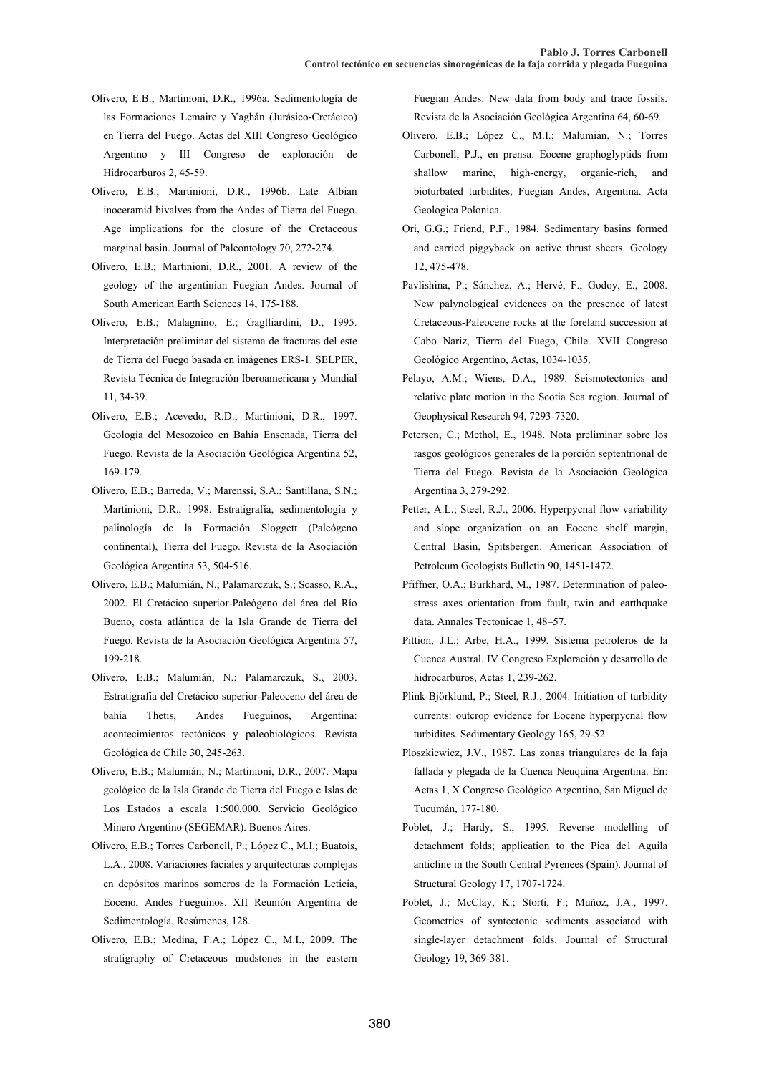- Olivero, E.B.; Martinioni, D.R., 1996a. Sedimentología de las Formaciones Lemaire y Yaghán (Jurásico-Cretácico) en Tierra del Fuego. Actas del XIII Congreso Geológico Argentino y III Congreso de exploración de Hidrocarburos 2, 45-59.
- Olivero, E.B.; Martinioni, D.R., 1996b. Late Albian inoceramid bivalves from the Andes of Tierra del Fuego. Age implications for the closure of the Cretaceous marginal basin. Journal of Paleontology 70, 272-274.
- Olivero, E.B.; Martinioni, D.R., 2001. A review of the geology of the argentinian Fuegian Andes. Journal of South American Earth Sciences 14, 175-188.
- Olivero, E.B.; Malagnino, E.; Gaglliardini, D., 1995. Interpretación preliminar del sistema de fracturas del este de Tierra del Fuego basada en imágenes ERS-1. SELPER, Revista Técnica de Integración Iberoamericana y Mundial 11, 34-39.
- Olivero, E.B.; Acevedo, R.D.; Martinioni, D.R., 1997. Geología del Mesozoico en Bahía Ensenada, Tierra del Fuego. Revista de la Asociación Geológica Argentina 52, 169-179.
- Olivero, E.B.; Barreda, V.; Marenssi, S.A.; Santillana, S.N.; Martinioni, D.R., 1998. Estratigrafía, sedimentología y palinología de la Formación Sloggett (Paleógeno continental), Tierra del Fuego. Revista de la Asociación Geológica Argentina 53, 504-516.
- Olivero, E.B.; Malumián, N.; Palamarczuk, S.; Scasso, R.A., 2002. El Cretácico superior-Paleógeno del área del Río Bueno, costa atlántica de la Isla Grande de Tierra del Fuego. Revista de la Asociación Geológica Argentina 57, 199-218.
- Olivero, E.B.; Malumián, N.; Palamarczuk, S., 2003. Estratigrafía del Cretácico superior-Paleoceno del área de bahía Thetis, Andes Fueguinos, Argentina: acontecimientos tectónicos y paleobiológicos. Revista Geológica de Chile 30, 245-263.
- Olivero, E.B.; Malumián, N.; Martinioni, D.R., 2007. Mapa geológico de la Isla Grande de Tierra del Fuego e Islas de Los Estados a escala 1:500.000. Servicio Geológico Minero Argentino (SEGEMAR). Buenos Aires.
- Olivero, E.B.; Torres Carbonell, P.; López C., M.I.; Buatois, L.A., 2008. Variaciones faciales y arquitecturas complejas en depósitos marinos someros de la Formación Leticia, Eoceno, Andes Fueguinos. XII Reunión Argentina de Sedimentología, Resúmenes, 128.
- Olivero, E.B.; Medina, F.A.; López C., M.I., 2009. The stratigraphy of Cretaceous mudstones in the eastern

Fuegian Andes: New data from body and trace fossils. Revista de la Asociación Geológica Argentina 64, 60-69.

- Olivero, E.B.; López C., M.I.; Malumián, N.; Torres Carbonell, P.J., en prensa. Eocene graphoglyptids from shallow marine, high-energy, organic-rich, and bioturbated turbidites, Fuegian Andes, Argentina. Acta Geologica Polonica.
- Ori, G.G.; Friend, P.F., 1984. Sedimentary basins formed and carried piggyback on active thrust sheets. Geology 12, 475-478.
- Pavlishina, P.; Sánchez, A.; Hervé, F.; Godoy, E., 2008. New palynological evidences on the presence of latest Cretaceous-Paleocene rocks at the foreland succession at Cabo Nariz, Tierra del Fuego, Chile. XVII Congreso Geológico Argentino, Actas, 1034-1035.
- Pelayo, A.M.; Wiens, D.A., 1989. Seismotectonics and relative plate motion in the Scotia Sea region. Journal of Geophysical Research 94, 7293-7320.
- Petersen, C.; Methol, E., 1948. Nota preliminar sobre los rasgos geológicos generales de la porción septentrional de Tierra del Fuego. Revista de la Asociación Geológica Argentina 3, 279-292.
- Petter, A.L.; Steel, R.J., 2006. Hyperpycnal flow variability and slope organization on an Eocene shelf margin, Central Basin, Spitsbergen. American Association of Petroleum Geologists Bulletin 90, 1451-1472.
- Pfiffner, O.A.; Burkhard, M., 1987. Determination of paleostress axes orientation from fault, twin and earthquake data. Annales Tectonicae 1, 48–57.
- Pittion, J.L.; Arbe, H.A., 1999. Sistema petroleros de la Cuenca Austral. IV Congreso Exploración y desarrollo de hidrocarburos, Actas 1, 239-262.
- Plink-Björklund, P.; Steel, R.J., 2004. Initiation of turbidity currents: outcrop evidence for Eocene hyperpycnal flow turbidites. Sedimentary Geology 165, 29-52.
- Ploszkiewicz, J.V., 1987. Las zonas triangulares de la faja fallada y plegada de la Cuenca Neuquina Argentina. En: Actas 1, X Congreso Geológico Argentino, San Miguel de Tucumán, 177-180.
- Poblet, J.; Hardy, S., 1995. Reverse modelling of detachment folds; application to the Pica de1 Aguila anticline in the South Central Pyrenees (Spain). Journal of Structural Geology 17, 1707-1724.
- Poblet, J.; McClay, K.; Storti, F.; Muñoz, J.A., 1997. Geometries of syntectonic sediments associated with single-layer detachment folds. Journal of Structural Geology 19, 369-381.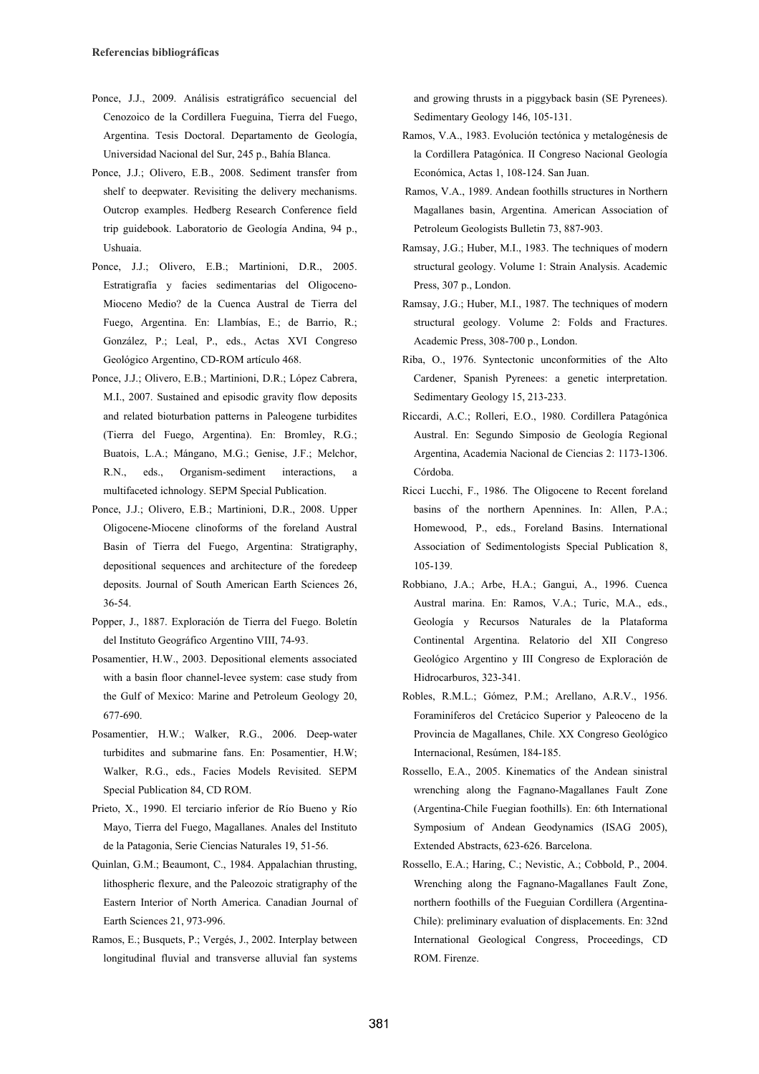- Ponce, J.J., 2009. Análisis estratigráfico secuencial del Cenozoico de la Cordillera Fueguina, Tierra del Fuego, Argentina. Tesis Doctoral. Departamento de Geología, Universidad Nacional del Sur, 245 p., Bahía Blanca.
- Ponce, J.J.; Olivero, E.B., 2008. Sediment transfer from shelf to deepwater. Revisiting the delivery mechanisms. Outcrop examples. Hedberg Research Conference field trip guidebook. Laboratorio de Geología Andina, 94 p., Ushuaia.
- Ponce, J.J.; Olivero, E.B.; Martinioni, D.R., 2005. Estratigrafía y facies sedimentarias del Oligoceno-Mioceno Medio? de la Cuenca Austral de Tierra del Fuego, Argentina. En: Llambías, E.; de Barrio, R.; González, P.; Leal, P., eds., Actas XVI Congreso Geológico Argentino, CD-ROM artículo 468.
- Ponce, J.J.; Olivero, E.B.; Martinioni, D.R.; López Cabrera, M.I., 2007. Sustained and episodic gravity flow deposits and related bioturbation patterns in Paleogene turbidites (Tierra del Fuego, Argentina). En: Bromley, R.G.; Buatois, L.A.; Mángano, M.G.; Genise, J.F.; Melchor, R.N., eds., Organism-sediment interactions, multifaceted ichnology. SEPM Special Publication.
- Ponce, J.J.; Olivero, E.B.; Martinioni, D.R., 2008. Upper Oligocene-Miocene clinoforms of the foreland Austral Basin of Tierra del Fuego, Argentina: Stratigraphy, depositional sequences and architecture of the foredeep deposits. Journal of South American Earth Sciences 26, 36-54.
- Popper, J., 1887. Exploración de Tierra del Fuego. Boletín del Instituto Geográfico Argentino VIII, 74-93.
- Posamentier, H.W., 2003. Depositional elements associated with a basin floor channel-levee system: case study from the Gulf of Mexico: Marine and Petroleum Geology 20, 677-690.
- Posamentier, H.W.; Walker, R.G., 2006. Deep-water turbidites and submarine fans. En: Posamentier, H.W; Walker, R.G., eds., Facies Models Revisited. SEPM Special Publication 84, CD ROM.
- Prieto, X., 1990. El terciario inferior de Río Bueno y Río Mayo, Tierra del Fuego, Magallanes. Anales del Instituto de la Patagonia, Serie Ciencias Naturales 19, 51-56.
- Quinlan, G.M.; Beaumont, C., 1984. Appalachian thrusting, lithospheric flexure, and the Paleozoic stratigraphy of the Eastern Interior of North America. Canadian Journal of Earth Sciences 21, 973-996.
- Ramos, E.; Busquets, P.; Vergés, J., 2002. Interplay between longitudinal fluvial and transverse alluvial fan systems

and growing thrusts in a piggyback basin (SE Pyrenees). Sedimentary Geology 146, 105-131.

- Ramos, V.A., 1983. Evolución tectónica y metalogénesis de la Cordillera Patagónica. II Congreso Nacional Geología Económica, Actas 1, 108-124. San Juan.
- Ramos, V.A., 1989. Andean foothills structures in Northern Magallanes basin, Argentina. American Association of Petroleum Geologists Bulletin 73, 887-903.
- Ramsay, J.G.; Huber, M.I., 1983. The techniques of modern structural geology. Volume 1: Strain Analysis. Academic Press, 307 p., London.
- Ramsay, J.G.; Huber, M.I., 1987. The techniques of modern structural geology. Volume 2: Folds and Fractures. Academic Press, 308-700 p., London.
- Riba, O., 1976. Syntectonic unconformities of the Alto Cardener, Spanish Pyrenees: a genetic interpretation. Sedimentary Geology 15, 213-233.
- Riccardi, A.C.; Rolleri, E.O., 1980. Cordillera Patagónica Austral. En: Segundo Simposio de Geología Regional Argentina, Academia Nacional de Ciencias 2: 1173-1306. Córdoba.
- Ricci Lucchi, F., 1986. The Oligocene to Recent foreland basins of the northern Apennines. In: Allen, P.A.; Homewood, P., eds., Foreland Basins. International Association of Sedimentologists Special Publication 8, 105-139.
- Robbiano, J.A.; Arbe, H.A.; Gangui, A., 1996. Cuenca Austral marina. En: Ramos, V.A.; Turic, M.A., eds., Geología y Recursos Naturales de la Plataforma Continental Argentina. Relatorio del XII Congreso Geológico Argentino y III Congreso de Exploración de Hidrocarburos, 323-341.
- Robles, R.M.L.; Gómez, P.M.; Arellano, A.R.V., 1956. Foraminíferos del Cretácico Superior y Paleoceno de la Provincia de Magallanes, Chile. XX Congreso Geológico Internacional, Resúmen, 184-185.
- Rossello, E.A., 2005. Kinematics of the Andean sinistral wrenching along the Fagnano-Magallanes Fault Zone (Argentina-Chile Fuegian foothills). En: 6th International Symposium of Andean Geodynamics (ISAG 2005), Extended Abstracts, 623-626. Barcelona.
- Rossello, E.A.; Haring, C.; Nevistic, A.; Cobbold, P., 2004. Wrenching along the Fagnano-Magallanes Fault Zone, northern foothills of the Fueguian Cordillera (Argentina-Chile): preliminary evaluation of displacements. En: 32nd International Geological Congress, Proceedings, CD ROM. Firenze.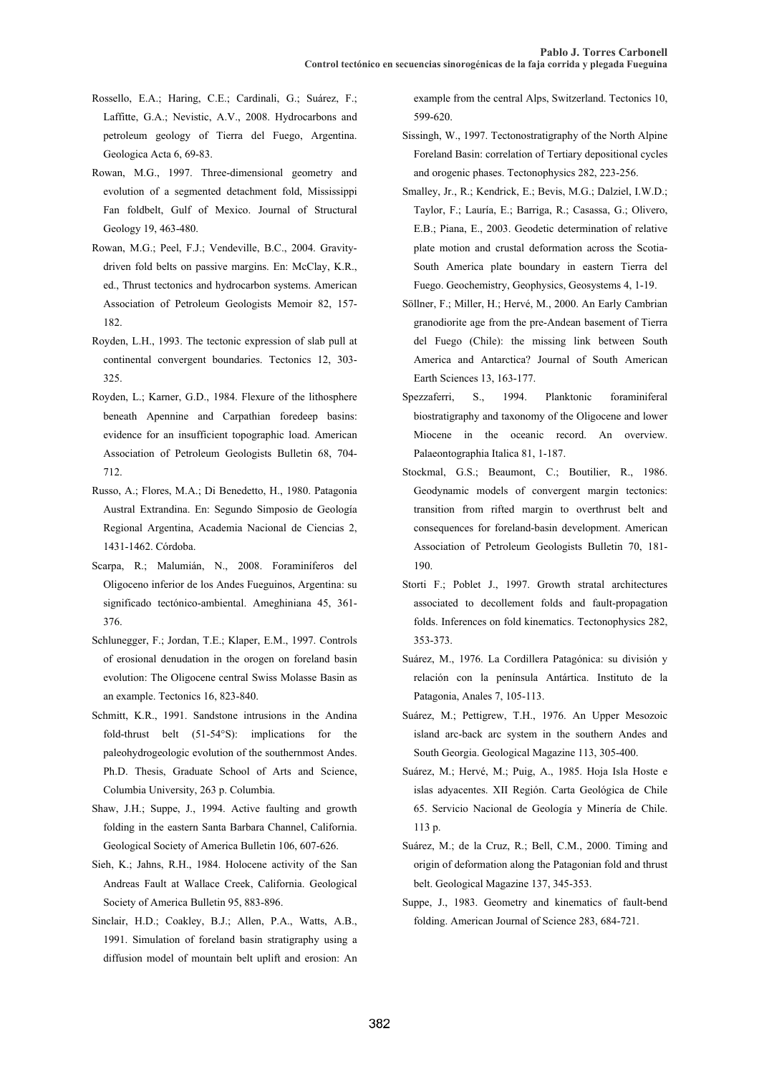- Rossello, E.A.; Haring, C.E.; Cardinali, G.; Suárez, F.; Laffitte, G.A.; Nevistic, A.V., 2008. Hydrocarbons and petroleum geology of Tierra del Fuego, Argentina. Geologica Acta 6, 69-83.
- Rowan, M.G., 1997. Three-dimensional geometry and evolution of a segmented detachment fold, Mississippi Fan foldbelt, Gulf of Mexico. Journal of Structural Geology 19, 463-480.
- Rowan, M.G.; Peel, F.J.; Vendeville, B.C., 2004. Gravitydriven fold belts on passive margins. En: McClay, K.R., ed., Thrust tectonics and hydrocarbon systems. American Association of Petroleum Geologists Memoir 82, 157- 182.
- Royden, L.H., 1993. The tectonic expression of slab pull at continental convergent boundaries. Tectonics 12, 303- 325.
- Royden, L.; Karner, G.D., 1984. Flexure of the lithosphere beneath Apennine and Carpathian foredeep basins: evidence for an insufficient topographic load. American Association of Petroleum Geologists Bulletin 68, 704- 712.
- Russo, A.; Flores, M.A.; Di Benedetto, H., 1980. Patagonia Austral Extrandina. En: Segundo Simposio de Geología Regional Argentina, Academia Nacional de Ciencias 2, 1431-1462. Córdoba.
- Scarpa, R.; Malumián, N., 2008. Foraminíferos del Oligoceno inferior de los Andes Fueguinos, Argentina: su significado tectónico-ambiental. Ameghiniana 45, 361- 376.
- Schlunegger, F.; Jordan, T.E.; Klaper, E.M., 1997. Controls of erosional denudation in the orogen on foreland basin evolution: The Oligocene central Swiss Molasse Basin as an example. Tectonics 16, 823-840.
- Schmitt, K.R., 1991. Sandstone intrusions in the Andina fold-thrust belt (51-54°S): implications for the paleohydrogeologic evolution of the southernmost Andes. Ph.D. Thesis, Graduate School of Arts and Science, Columbia University, 263 p. Columbia.
- Shaw, J.H.; Suppe, J., 1994. Active faulting and growth folding in the eastern Santa Barbara Channel, California. Geological Society of America Bulletin 106, 607-626.
- Sieh, K.; Jahns, R.H., 1984. Holocene activity of the San Andreas Fault at Wallace Creek, California. Geological Society of America Bulletin 95, 883-896.
- Sinclair, H.D.; Coakley, B.J.; Allen, P.A., Watts, A.B., 1991. Simulation of foreland basin stratigraphy using a diffusion model of mountain belt uplift and erosion: An

example from the central Alps, Switzerland. Tectonics 10, 599-620.

- Sissingh, W., 1997. Tectonostratigraphy of the North Alpine Foreland Basin: correlation of Tertiary depositional cycles and orogenic phases. Tectonophysics 282, 223-256.
- Smalley, Jr., R.; Kendrick, E.; Bevis, M.G.; Dalziel, I.W.D.; Taylor, F.; Lauría, E.; Barriga, R.; Casassa, G.; Olivero, E.B.; Piana, E., 2003. Geodetic determination of relative plate motion and crustal deformation across the Scotia-South America plate boundary in eastern Tierra del Fuego. Geochemistry, Geophysics, Geosystems 4, 1-19.
- Söllner, F.; Miller, H.; Hervé, M., 2000. An Early Cambrian granodiorite age from the pre-Andean basement of Tierra del Fuego (Chile): the missing link between South America and Antarctica? Journal of South American Earth Sciences 13, 163-177.
- Spezzaferri, S., 1994. Planktonic foraminiferal biostratigraphy and taxonomy of the Oligocene and lower Miocene in the oceanic record. An overview. Palaeontographia Italica 81, 1-187.
- Stockmal, G.S.; Beaumont, C.; Boutilier, R., 1986. Geodynamic models of convergent margin tectonics: transition from rifted margin to overthrust belt and consequences for foreland-basin development. American Association of Petroleum Geologists Bulletin 70, 181- 190.
- Storti F.; Poblet J., 1997. Growth stratal architectures associated to decollement folds and fault-propagation folds. Inferences on fold kinematics. Tectonophysics 282, 353-373.
- Suárez, M., 1976. La Cordillera Patagónica: su división y relación con la península Antártica. Instituto de la Patagonia, Anales 7, 105-113.
- Suárez, M.; Pettigrew, T.H., 1976. An Upper Mesozoic island arc-back arc system in the southern Andes and South Georgia. Geological Magazine 113, 305-400.
- Suárez, M.; Hervé, M.; Puig, A., 1985. Hoja Isla Hoste e islas adyacentes. XII Región. Carta Geológica de Chile 65. Servicio Nacional de Geología y Minería de Chile. 113 p.
- Suárez, M.; de la Cruz, R.; Bell, C.M., 2000. Timing and origin of deformation along the Patagonian fold and thrust belt. Geological Magazine 137, 345-353.
- Suppe, J., 1983. Geometry and kinematics of fault-bend folding. American Journal of Science 283, 684-721.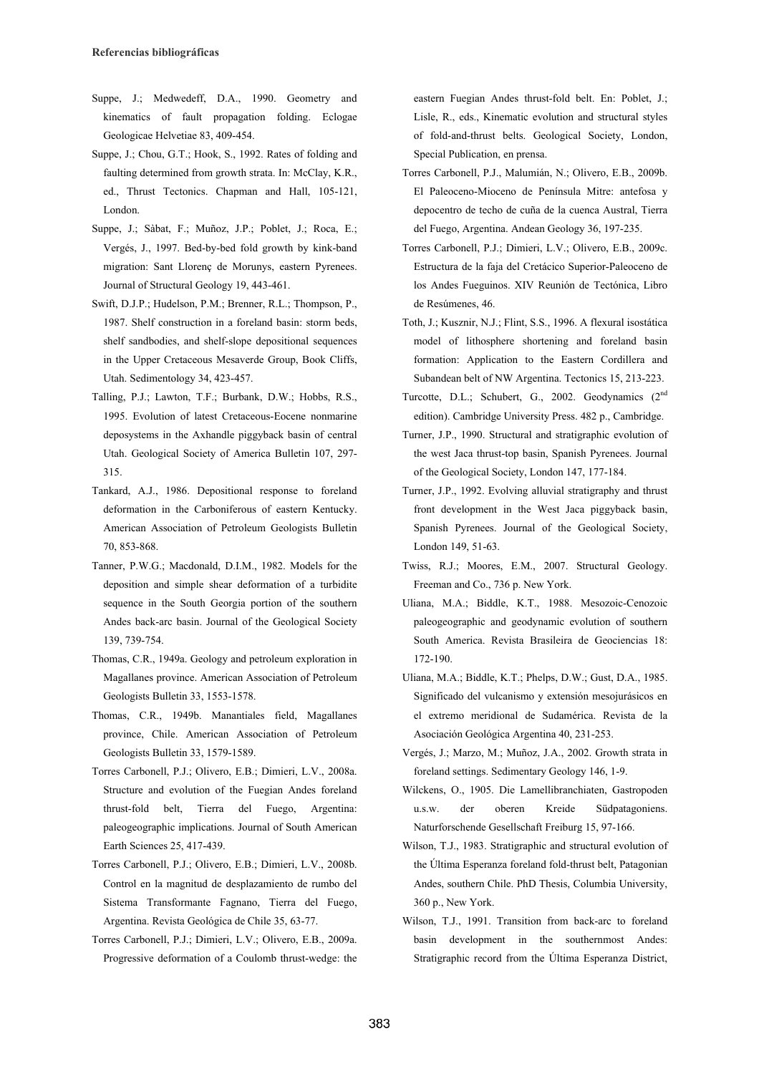- Suppe, J.; Medwedeff, D.A., 1990. Geometry and kinematics of fault propagation folding. Eclogae Geologicae Helvetiae 83, 409-454.
- Suppe, J.; Chou, G.T.; Hook, S., 1992. Rates of folding and faulting determined from growth strata. In: McClay, K.R., ed., Thrust Tectonics. Chapman and Hall, 105-121, London.
- Suppe, J.; Sàbat, F.; Muñoz, J.P.; Poblet, J.; Roca, E.; Vergés, J., 1997. Bed-by-bed fold growth by kink-band migration: Sant Llorenç de Morunys, eastern Pyrenees. Journal of Structural Geology 19, 443-461.
- Swift, D.J.P.; Hudelson, P.M.; Brenner, R.L.; Thompson, P., 1987. Shelf construction in a foreland basin: storm beds, shelf sandbodies, and shelf-slope depositional sequences in the Upper Cretaceous Mesaverde Group, Book Cliffs, Utah. Sedimentology 34, 423-457.
- Talling, P.J.; Lawton, T.F.; Burbank, D.W.; Hobbs, R.S., 1995. Evolution of latest Cretaceous-Eocene nonmarine deposystems in the Axhandle piggyback basin of central Utah. Geological Society of America Bulletin 107, 297- 315.
- Tankard, A.J., 1986. Depositional response to foreland deformation in the Carboniferous of eastern Kentucky. American Association of Petroleum Geologists Bulletin 70, 853-868.
- Tanner, P.W.G.; Macdonald, D.I.M., 1982. Models for the deposition and simple shear deformation of a turbidite sequence in the South Georgia portion of the southern Andes back-arc basin. Journal of the Geological Society 139, 739-754.
- Thomas, C.R., 1949a. Geology and petroleum exploration in Magallanes province. American Association of Petroleum Geologists Bulletin 33, 1553-1578.
- Thomas, C.R., 1949b. Manantiales field, Magallanes province, Chile. American Association of Petroleum Geologists Bulletin 33, 1579-1589.
- Torres Carbonell, P.J.; Olivero, E.B.; Dimieri, L.V., 2008a. Structure and evolution of the Fuegian Andes foreland thrust-fold belt, Tierra del Fuego, Argentina: paleogeographic implications. Journal of South American Earth Sciences 25, 417-439.
- Torres Carbonell, P.J.; Olivero, E.B.; Dimieri, L.V., 2008b. Control en la magnitud de desplazamiento de rumbo del Sistema Transformante Fagnano, Tierra del Fuego, Argentina. Revista Geológica de Chile 35, 63-77.
- Torres Carbonell, P.J.; Dimieri, L.V.; Olivero, E.B., 2009a. Progressive deformation of a Coulomb thrust-wedge: the

eastern Fuegian Andes thrust-fold belt. En: Poblet, J.; Lisle, R., eds., Kinematic evolution and structural styles of fold-and-thrust belts. Geological Society, London, Special Publication, en prensa.

- Torres Carbonell, P.J., Malumián, N.; Olivero, E.B., 2009b. El Paleoceno-Mioceno de Península Mitre: antefosa y depocentro de techo de cuña de la cuenca Austral, Tierra del Fuego, Argentina. Andean Geology 36, 197-235.
- Torres Carbonell, P.J.; Dimieri, L.V.; Olivero, E.B., 2009c. Estructura de la faja del Cretácico Superior-Paleoceno de los Andes Fueguinos. XIV Reunión de Tectónica, Libro de Resúmenes, 46.
- Toth, J.; Kusznir, N.J.; Flint, S.S., 1996. A flexural isostática model of lithosphere shortening and foreland basin formation: Application to the Eastern Cordillera and Subandean belt of NW Argentina. Tectonics 15, 213-223.
- Turcotte, D.L.; Schubert, G., 2002. Geodynamics (2<sup>nd</sup>) edition). Cambridge University Press. 482 p., Cambridge.
- Turner, J.P., 1990. Structural and stratigraphic evolution of the west Jaca thrust-top basin, Spanish Pyrenees. Journal of the Geological Society, London 147, 177-184.
- Turner, J.P., 1992. Evolving alluvial stratigraphy and thrust front development in the West Jaca piggyback basin, Spanish Pyrenees. Journal of the Geological Society, London 149, 51-63.
- Twiss, R.J.; Moores, E.M., 2007. Structural Geology. Freeman and Co., 736 p. New York.
- Uliana, M.A.; Biddle, K.T., 1988. Mesozoic-Cenozoic paleogeographic and geodynamic evolution of southern South America. Revista Brasileira de Geociencias 18: 172-190.
- Uliana, M.A.; Biddle, K.T.; Phelps, D.W.; Gust, D.A., 1985. Significado del vulcanismo y extensión mesojurásicos en el extremo meridional de Sudamérica. Revista de la Asociación Geológica Argentina 40, 231-253.
- Vergés, J.; Marzo, M.; Muñoz, J.A., 2002. Growth strata in foreland settings. Sedimentary Geology 146, 1-9.
- Wilckens, O., 1905. Die Lamellibranchiaten, Gastropoden u.s.w. der oberen Kreide Südpatagoniens. Naturforschende Gesellschaft Freiburg 15, 97-166.
- Wilson, T.J., 1983. Stratigraphic and structural evolution of the Última Esperanza foreland fold-thrust belt, Patagonian Andes, southern Chile. PhD Thesis, Columbia University, 360 p., New York.
- Wilson, T.J., 1991. Transition from back-arc to foreland basin development in the southernmost Andes: Stratigraphic record from the Última Esperanza District,